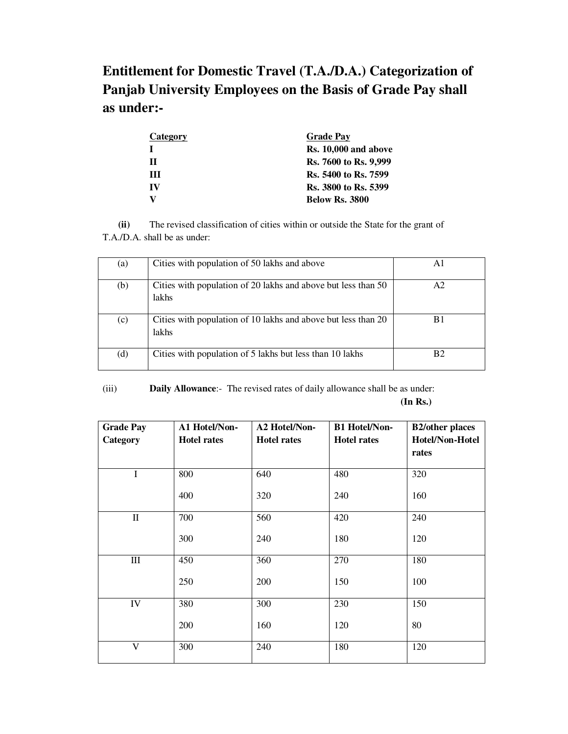**Entitlement for Domestic Travel (T.A./D.A.) Categorization of Panjab University Employees on the Basis of Grade Pay shall as under:-** 

| Category | <b>Grade Pay</b>            |
|----------|-----------------------------|
|          | Rs. 10,000 and above        |
| н        | Rs. 7600 to Rs. 9,999       |
| Ш        | <b>Rs.</b> 5400 to Rs. 7599 |
| IV       | Rs. 3800 to Rs. 5399        |
| v        | <b>Below Rs. 3800</b>       |

 **(ii)** The revised classification of cities within or outside the State for the grant of T.A./D.A. shall be as under:

| (a) | Cities with population of 50 lakhs and above                                  | A1             |
|-----|-------------------------------------------------------------------------------|----------------|
| (b) | Cities with population of 20 lakhs and above but less than 50<br><b>lakhs</b> | A2             |
| (c) | Cities with population of 10 lakhs and above but less than 20<br><b>lakhs</b> | R1             |
| (d) | Cities with population of 5 lakhs but less than 10 lakhs                      | B <sub>2</sub> |

(iii) **Daily Allowance**:- The revised rates of daily allowance shall be as under:

**(In Rs.)** 

| <b>Grade Pay</b>   | A1 Hotel/Non-      | <b>A2 Hotel/Non-</b> | <b>B1 Hotel/Non-</b> | <b>B2/other places</b> |
|--------------------|--------------------|----------------------|----------------------|------------------------|
| Category           | <b>Hotel rates</b> | <b>Hotel rates</b>   | <b>Hotel rates</b>   | Hotel/Non-Hotel        |
|                    |                    |                      |                      | rates                  |
| $\mathbf I$        | 800                | 640                  | 480                  | 320                    |
|                    | 400                | 320                  | 240                  | 160                    |
| $\mathbf H$        | 700                | 560                  | 420                  | 240                    |
|                    | 300                | 240                  | 180                  | 120                    |
| $\mathop{\rm III}$ | 450                | 360                  | 270                  | 180                    |
|                    | 250                | 200                  | 150                  | 100                    |
| IV                 | 380                | 300                  | 230                  | 150                    |
|                    | 200                | 160                  | 120                  | 80                     |
| V                  | 300                | 240                  | 180                  | 120                    |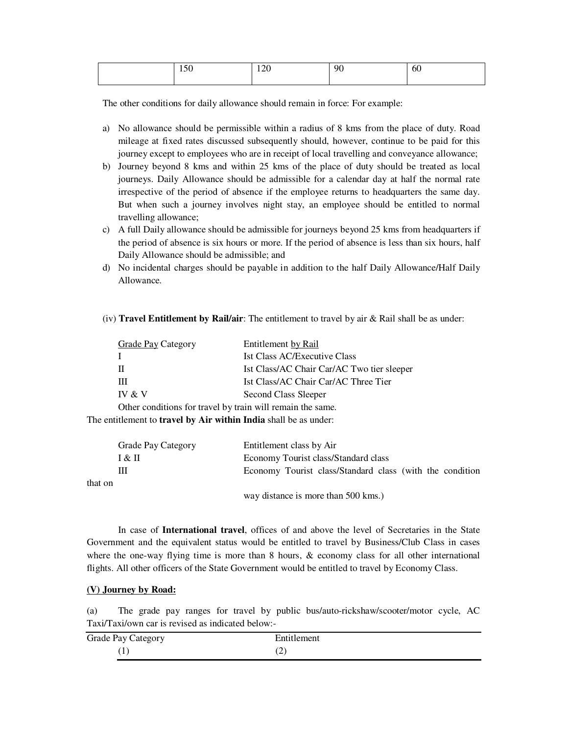| $\sim$ $\sim$ $\sim$<br>1 J V | $\bigcap$<br>$1 \angle U$<br>____ | 90 | 60 |
|-------------------------------|-----------------------------------|----|----|
|                               |                                   |    |    |

The other conditions for daily allowance should remain in force: For example:

- a) No allowance should be permissible within a radius of 8 kms from the place of duty. Road mileage at fixed rates discussed subsequently should, however, continue to be paid for this journey except to employees who are in receipt of local travelling and conveyance allowance;
- b) Journey beyond 8 kms and within 25 kms of the place of duty should be treated as local journeys. Daily Allowance should be admissible for a calendar day at half the normal rate irrespective of the period of absence if the employee returns to headquarters the same day. But when such a journey involves night stay, an employee should be entitled to normal travelling allowance;
- c) A full Daily allowance should be admissible for journeys beyond 25 kms from headquarters if the period of absence is six hours or more. If the period of absence is less than six hours, half Daily Allowance should be admissible; and
- d) No incidental charges should be payable in addition to the half Daily Allowance/Half Daily Allowance.
- (iv) **Travel Entitlement by Rail/air**: The entitlement to travel by air & Rail shall be as under:

| Grade Pay Category                                         | Entitlement by Rail                        |
|------------------------------------------------------------|--------------------------------------------|
|                                                            | <b>Ist Class AC/Executive Class</b>        |
| н                                                          | Ist Class/AC Chair Car/AC Two tier sleeper |
| Ш                                                          | Ist Class/AC Chair Car/AC Three Tier       |
| IV & V                                                     | Second Class Sleeper                       |
| Other conditions for travel by train will remain the same. |                                            |

The entitlement to **travel by Air within India** shall be as under:

|         | <b>Grade Pay Category</b> | Entitlement class by Air                                 |
|---------|---------------------------|----------------------------------------------------------|
|         | I & II                    | Economy Tourist class/Standard class                     |
|         | Ш                         | Economy Tourist class/Standard class (with the condition |
| that on |                           |                                                          |
|         |                           | way distance is more than 500 kms.)                      |

In case of **International travel**, offices of and above the level of Secretaries in the State Government and the equivalent status would be entitled to travel by Business/Club Class in cases where the one-way flying time is more than  $8$  hours,  $\&$  economy class for all other international flights. All other officers of the State Government would be entitled to travel by Economy Class.

## **(V) Journey by Road:**

(a) The grade pay ranges for travel by public bus/auto-rickshaw/scooter/motor cycle, AC Taxi/Taxi/own car is revised as indicated below:-

| Grade Pay Category | Entitlement |
|--------------------|-------------|
| $\Gamma$           | (∠          |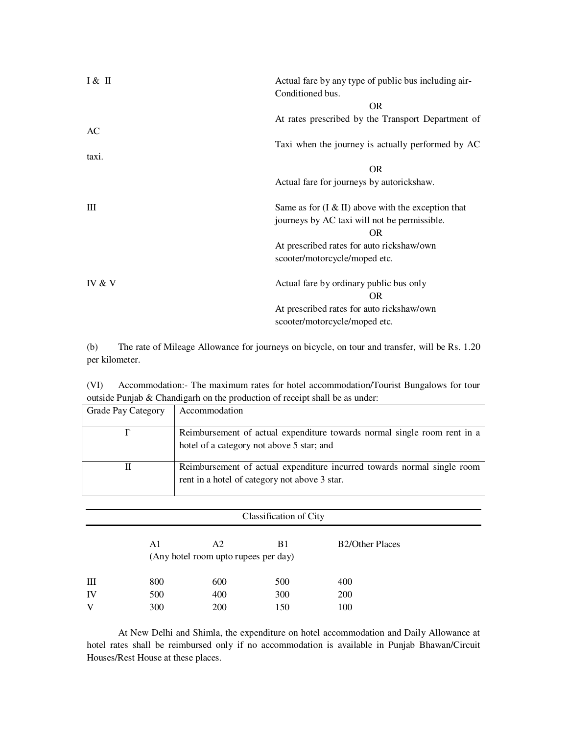| I & H  | Actual fare by any type of public bus including air-<br>Conditioned bus.                                   |
|--------|------------------------------------------------------------------------------------------------------------|
|        | <b>OR</b>                                                                                                  |
|        | At rates prescribed by the Transport Department of                                                         |
| AC     |                                                                                                            |
|        | Taxi when the journey is actually performed by AC                                                          |
| taxi.  |                                                                                                            |
|        | <b>OR</b>                                                                                                  |
|        | Actual fare for journeys by autorickshaw.                                                                  |
| Ш      | Same as for $(I & H)$ above with the exception that<br>journeys by AC taxi will not be permissible.<br>OR. |
|        | At prescribed rates for auto rickshaw/own                                                                  |
|        | scooter/motorcycle/moped etc.                                                                              |
| IV & V | Actual fare by ordinary public bus only<br>OR.                                                             |
|        | At prescribed rates for auto rickshaw/own                                                                  |
|        | scooter/motorcycle/moped etc.                                                                              |

(b) The rate of Mileage Allowance for journeys on bicycle, on tour and transfer, will be Rs. 1.20 per kilometer.

(VI) Accommodation:- The maximum rates for hotel accommodation/Tourist Bungalows for tour outside Punjab & Chandigarh on the production of receipt shall be as under:

| <b>Grade Pay Category</b> | Accommodation                                                                                                            |
|---------------------------|--------------------------------------------------------------------------------------------------------------------------|
|                           | Reimbursement of actual expenditure towards normal single room rent in a<br>hotel of a category not above 5 star; and    |
| П                         | Reimbursement of actual expenditure incurred towards normal single room<br>rent in a hotel of category not above 3 star. |

| Classification of City |     |                                            |     |                        |  |
|------------------------|-----|--------------------------------------------|-----|------------------------|--|
|                        | A1  | A2<br>(Any hotel room upto rupees per day) | B1  | <b>B2/Other Places</b> |  |
| Ш                      | 800 | 600                                        | 500 | 400                    |  |
| IV                     | 500 | 400                                        | 300 | <b>200</b>             |  |
| V                      | 300 | 200                                        | 150 | 100                    |  |

 At New Delhi and Shimla, the expenditure on hotel accommodation and Daily Allowance at hotel rates shall be reimbursed only if no accommodation is available in Punjab Bhawan/Circuit Houses/Rest House at these places.